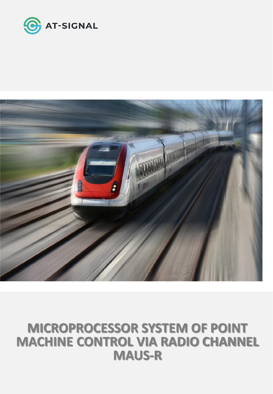

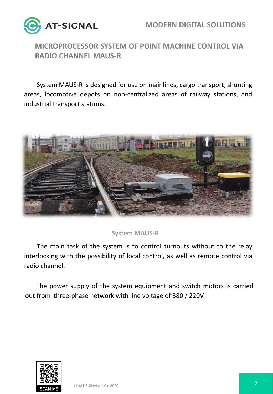



System MAUS-R is designed for use on mainlines, cargo transport, shunting areas, locomotive depots on non-centralized areas of railway stations, and industrial transport stations.



#### **System MAUS-R**

The main task of the system is to control turnouts without to the relay interlocking with the possibility of local control, as well as remote control via radio channel.

The power supply of the system equipment and switch motors is carried out from three-phase network with line voltage of 380 / 220V.

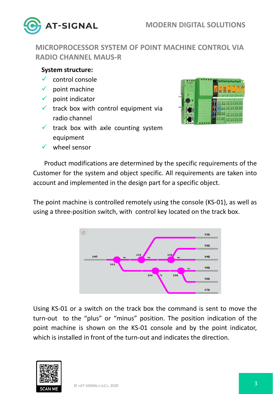

#### **System structure:**

- $\checkmark$  control console
- $\checkmark$  point machine
- $\checkmark$  point indicator
- $\checkmark$  track box with control equipment via radio channel
- $\checkmark$  track box with axle counting system equipment
- $\checkmark$  wheel sensor



Product modifications are determined by the specific requirements of the Customer for the system and object specific. All requirements are taken into account and implemented in the design part for a specific object.

The point machine is controlled remotely using the console (KS-01), as well as using a three-position switch, with control key located on the track box.



Using KS-01 or a switch on the track box the command is sent to move the turn-out to the "plus" or "minus" position. The position indication of the point machine is shown on the KS-01 console and by the point indicator, which is installed in front of the turn-out and indicates the direction.